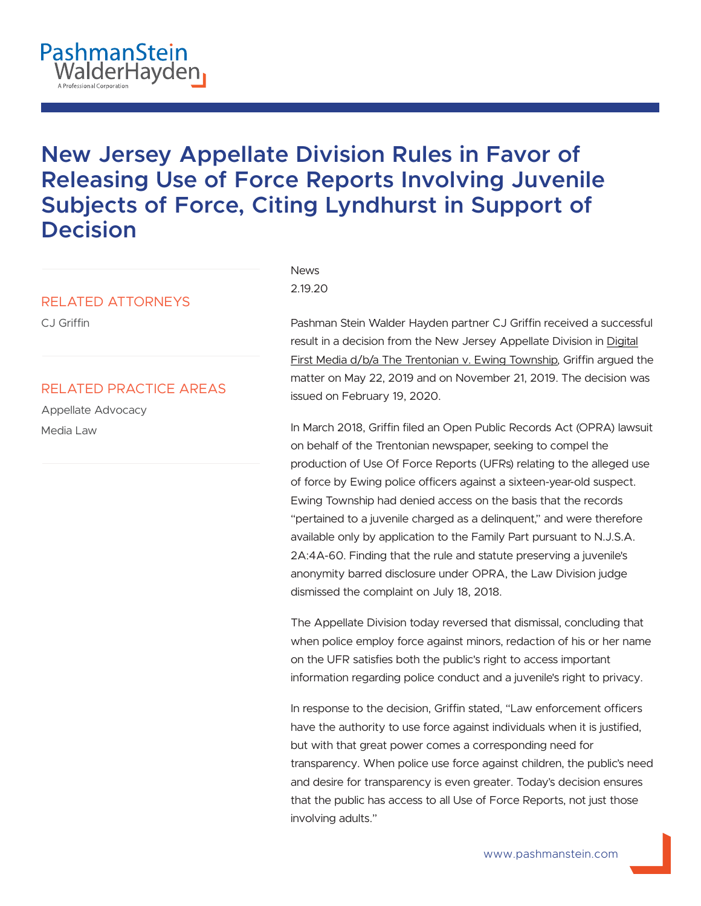

# **New Jersey Appellate Division Rules in Favor of Releasing Use of Force Reports Involving Juvenile Subjects of Force, Citing Lyndhurst in Support of Decision**

### RELATED ATTORNEYS

CJ Griffin

## RELATED PRACTICE AREAS

Appellate Advocacy Media Law

#### News 2.19.20

Pashman Stein Walder Hayden partner CJ Griffin received a successful result in a decision from the New Jersey Appellate Division in Digital First Media d/b/a The Trentonian v. Ewing Township, Griffin argued the matter on May 22, 2019 and on November 21, 2019. The decision was issued on February 19, 2020.

In March 2018, Griffin filed an Open Public Records Act (OPRA) lawsuit on behalf of the Trentonian newspaper, seeking to compel the production of Use Of Force Reports (UFRs) relating to the alleged use of force by Ewing police officers against a sixteen-year-old suspect. Ewing Township had denied access on the basis that the records "pertained to a juvenile charged as a delinquent," and were therefore available only by application to the Family Part pursuant to N.J.S.A. 2A:4A-60. Finding that the rule and statute preserving a juvenile's anonymity barred disclosure under OPRA, the Law Division judge dismissed the complaint on July 18, 2018.

The Appellate Division today reversed that dismissal, concluding that when police employ force against minors, redaction of his or her name on the UFR satisfies both the public's right to access important information regarding police conduct and a juvenile's right to privacy.

In response to the decision, Griffin stated, "Law enforcement officers have the authority to use force against individuals when it is justified, but with that great power comes a corresponding need for transparency. When police use force against children, the public's need and desire for transparency is even greater. Today's decision ensures that the public has access to all Use of Force Reports, not just those involving adults."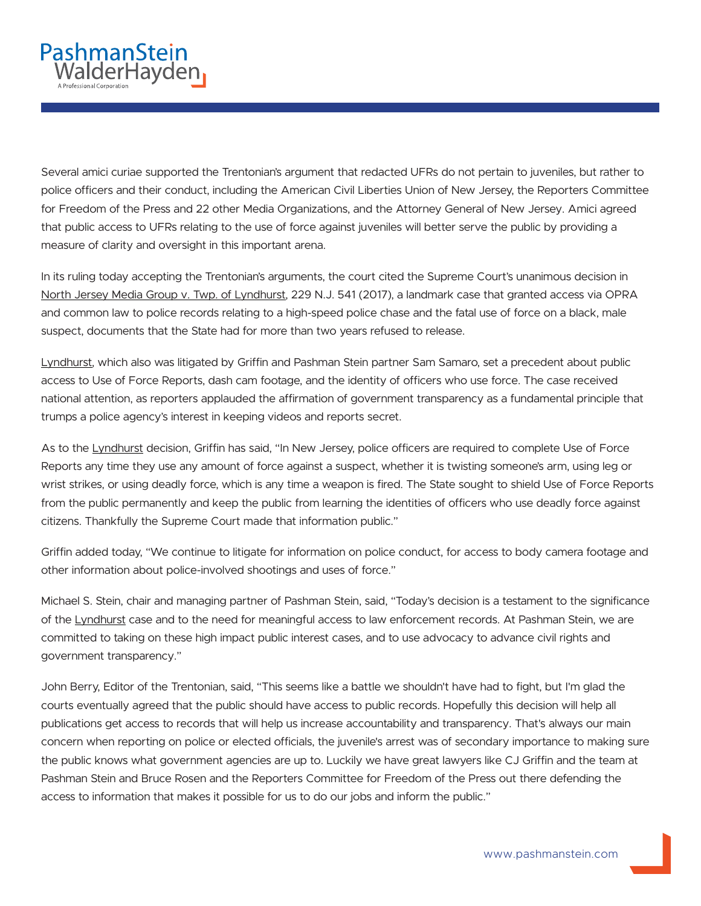Several amici curiae supported the Trentonian's argument that redacted UFRs do not pertain to juveniles, but rather to police officers and their conduct, including the American Civil Liberties Union of New Jersey, the Reporters Committee for Freedom of the Press and 22 other Media Organizations, and the Attorney General of New Jersey. Amici agreed that public access to UFRs relating to the use of force against juveniles will better serve the public by providing a measure of clarity and oversight in this important arena.

In its ruling today accepting the Trentonian's arguments, the court cited the Supreme Court's unanimous decision in North Jersey Media Group v. Twp. of Lyndhurst, 229 N.J. 541 (2017), a landmark case that granted access via OPRA and common law to police records relating to a high-speed police chase and the fatal use of force on a black, male suspect, documents that the State had for more than two years refused to release.

Lyndhurst, which also was litigated by Griffin and Pashman Stein partner Sam Samaro, set a precedent about public access to Use of Force Reports, dash cam footage, and the identity of officers who use force. The case received national attention, as reporters applauded the affirmation of government transparency as a fundamental principle that trumps a police agency's interest in keeping videos and reports secret.

As to the Lyndhurst decision, Griffin has said, "In New Jersey, police officers are required to complete Use of Force Reports any time they use any amount of force against a suspect, whether it is twisting someone's arm, using leg or wrist strikes, or using deadly force, which is any time a weapon is fired. The State sought to shield Use of Force Reports from the public permanently and keep the public from learning the identities of officers who use deadly force against citizens. Thankfully the Supreme Court made that information public."

Griffin added today, "We continue to litigate for information on police conduct, for access to body camera footage and other information about police-involved shootings and uses of force."

Michael S. Stein, chair and managing partner of Pashman Stein, said, "Today's decision is a testament to the significance of the Lyndhurst case and to the need for meaningful access to law enforcement records. At Pashman Stein, we are committed to taking on these high impact public interest cases, and to use advocacy to advance civil rights and government transparency."

John Berry, Editor of the Trentonian, said, "This seems like a battle we shouldn't have had to fight, but I'm glad the courts eventually agreed that the public should have access to public records. Hopefully this decision will help all publications get access to records that will help us increase accountability and transparency. That's always our main concern when reporting on police or elected officials, the juvenile's arrest was of secondary importance to making sure the public knows what government agencies are up to. Luckily we have great lawyers like CJ Griffin and the team at Pashman Stein and Bruce Rosen and the Reporters Committee for Freedom of the Press out there defending the access to information that makes it possible for us to do our jobs and inform the public."